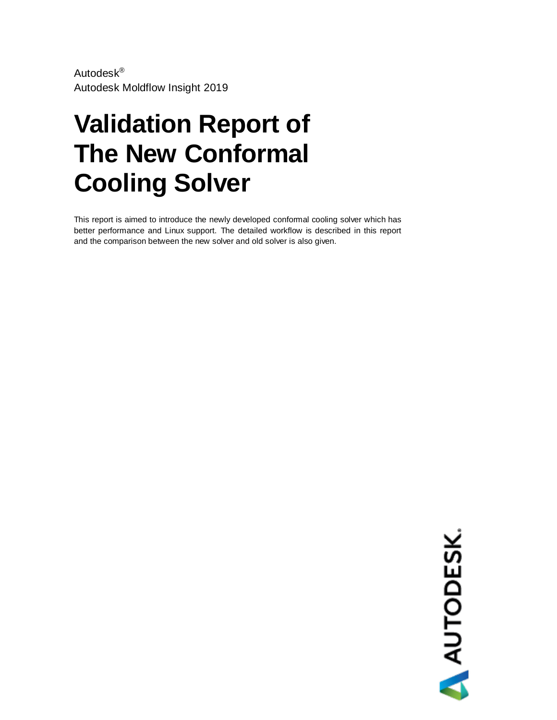Autodesk® Autodesk Moldflow Insight 2019

# **Validation Report of The New Conformal Cooling Solver**

This report is aimed to introduce the newly developed conformal cooling solver which has better performance and Linux support. The detailed workflow is described in this report and the comparison between the new solver and old solver is also given.

AUTODESK.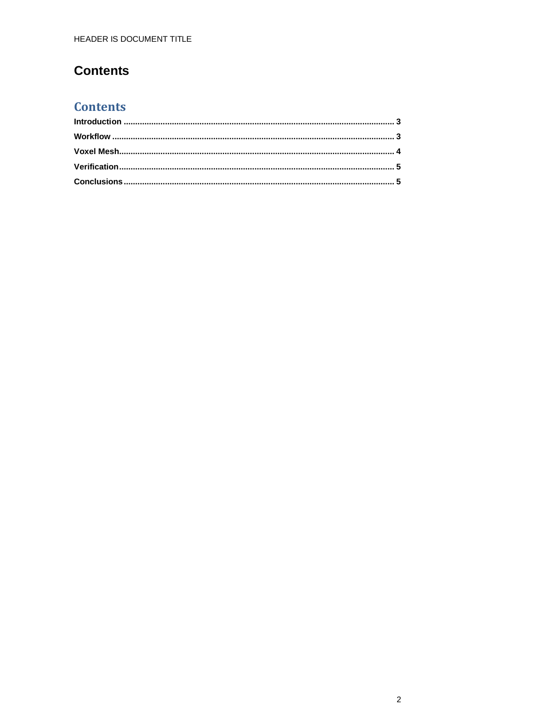### **Contents**

### **Contents**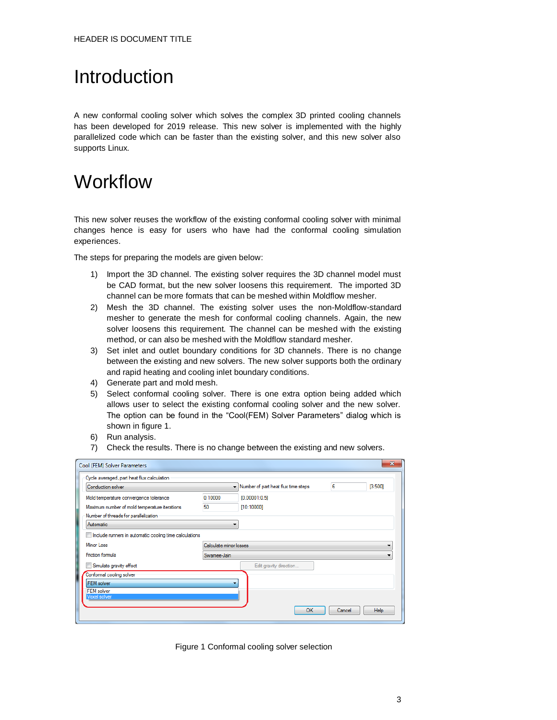### <span id="page-2-0"></span>Introduction

A new conformal cooling solver which solves the complex 3D printed cooling channels has been developed for 2019 release. This new solver is implemented with the highly parallelized code which can be faster than the existing solver, and this new solver also supports Linux.

### <span id="page-2-1"></span>**Workflow**

This new solver reuses the workflow of the existing conformal cooling solver with minimal changes hence is easy for users who have had the conformal cooling simulation experiences.

The steps for preparing the models are given below:

- 1) Import the 3D channel. The existing solver requires the 3D channel model must be CAD format, but the new solver loosens this requirement. The imported 3D channel can be more formats that can be meshed within Moldflow mesher.
- 2) Mesh the 3D channel. The existing solver uses the non-Moldflow-standard mesher to generate the mesh for conformal cooling channels. Again, the new solver loosens this requirement. The channel can be meshed with the existing method, or can also be meshed with the Moldflow standard mesher.
- 3) Set inlet and outlet boundary conditions for 3D channels. There is no change between the existing and new solvers. The new solver supports both the ordinary and rapid heating and cooling inlet boundary conditions.
- 4) Generate part and mold mesh.
- 5) Select conformal cooling solver. There is one extra option being added which allows user to select the existing conformal cooling solver and the new solver. The option can be found in the "Cool(FEM) Solver Parameters" dialog which is shown in figure 1.
- 6) Run analysis.
- 7) Check the results. There is no change between the existing and new solvers.

| Cool (FEM) Solver Parameters                           |             |                                       |        | $\mathbf{x}$ |  |  |
|--------------------------------------------------------|-------------|---------------------------------------|--------|--------------|--|--|
| Cycle averaged, part heat flux calculation             |             |                                       |        |              |  |  |
| Conduction solver                                      |             | • Number of part heat flux time steps | 6      | [3:500]      |  |  |
| Mold temperature convergence tolerance                 | 0.10000     | [0.00001:0.5]                         |        |              |  |  |
| Maximum number of mold temperature iterations          | 50          | [10:10000]                            |        |              |  |  |
| Number of threads for parallelization                  |             |                                       |        |              |  |  |
| Automatic                                              | ▼           |                                       |        |              |  |  |
| Include runners in automatic cooling time calculations |             |                                       |        |              |  |  |
| Minor Loss                                             |             | Calculate minor losses                |        |              |  |  |
| Friction formula                                       | Swamee-Jain |                                       |        |              |  |  |
| Simulate gravity effect                                |             | Edit gravity direction                |        |              |  |  |
| Conformal cooling solver                               |             |                                       |        |              |  |  |
| <b>FEM</b> solver                                      |             |                                       |        |              |  |  |
| <b>FEM</b> solver<br>Voxel solver                      |             |                                       |        |              |  |  |
|                                                        |             |                                       |        |              |  |  |
|                                                        |             | OK                                    | Cancel | <b>Help</b>  |  |  |
|                                                        |             |                                       |        |              |  |  |

Figure 1 Conformal cooling solver selection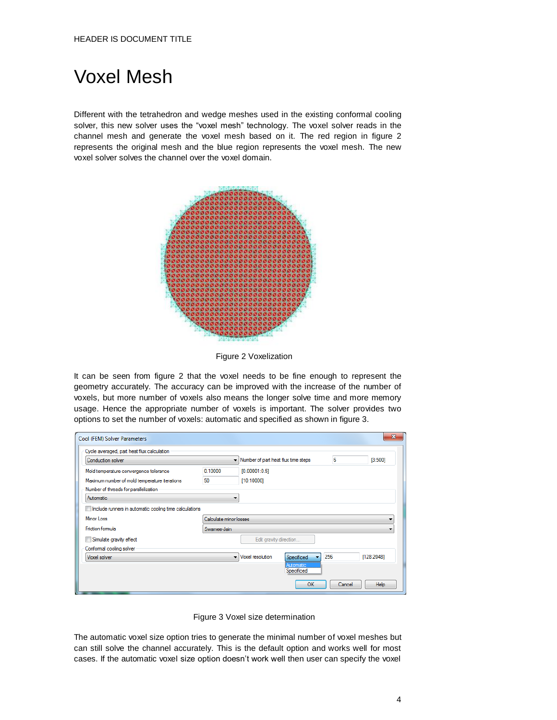### <span id="page-3-0"></span>Voxel Mesh

Different with the tetrahedron and wedge meshes used in the existing conformal cooling solver, this new solver uses the "voxel mesh" technology. The voxel solver reads in the channel mesh and generate the voxel mesh based on it. The red region in figure 2 represents the original mesh and the blue region represents the voxel mesh. The new voxel solver solves the channel over the voxel domain.



Figure 2 Voxelization

It can be seen from figure 2 that the voxel needs to be fine enough to represent the geometry accurately. The accuracy can be improved with the increase of the number of voxels, but more number of voxels also means the longer solve time and more memory usage. Hence the appropriate number of voxels is important. The solver provides two options to set the number of voxels: automatic and specified as shown in figure 3.

|                                                           |                  |                                        | 6                                                               | [3:500]    |  |
|-----------------------------------------------------------|------------------|----------------------------------------|-----------------------------------------------------------------|------------|--|
| 0.10000                                                   | [0.00001:0.5]    |                                        |                                                                 |            |  |
| 50                                                        | [10:10000]       |                                        |                                                                 |            |  |
|                                                           |                  |                                        |                                                                 |            |  |
|                                                           |                  |                                        |                                                                 |            |  |
| Im Include runners in automatic cooling time calculations |                  |                                        |                                                                 |            |  |
|                                                           |                  |                                        |                                                                 |            |  |
| Swamee-Jain                                               |                  |                                        |                                                                 |            |  |
|                                                           |                  |                                        |                                                                 |            |  |
|                                                           |                  |                                        |                                                                 |            |  |
|                                                           | Voxel resolution | Specificed                             |                                                                 | [128:2048] |  |
|                                                           |                  | Automatic<br>Specificed                |                                                                 |            |  |
|                                                           |                  | Calculate minor losses<br>$\mathbf{r}$ | - Number of part heat flux time steps<br>Edit gravity direction | 256        |  |

Figure 3 Voxel size determination

The automatic voxel size option tries to generate the minimal number of voxel meshes but can still solve the channel accurately. This is the default option and works well for most cases. If the automatic voxel size option doesn't work well then user can specify the voxel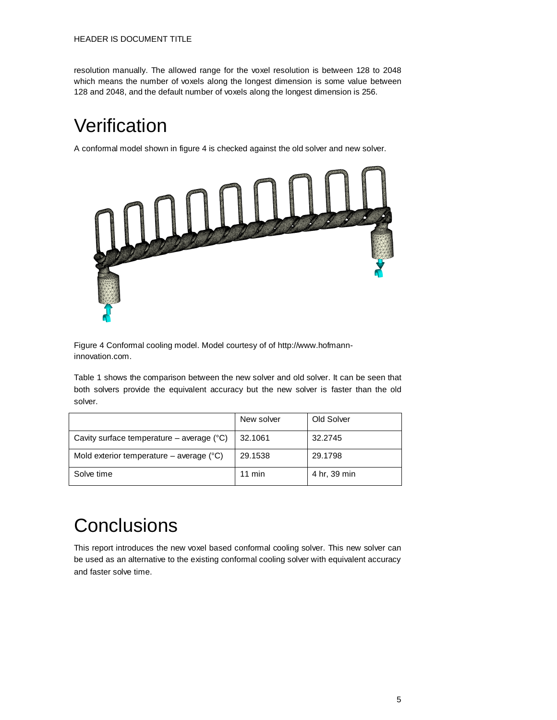resolution manually. The allowed range for the voxel resolution is between 128 to 2048 which means the number of voxels along the longest dimension is some value between 128 and 2048, and the default number of voxels along the longest dimension is 256.

## <span id="page-4-0"></span>**Verification**

A conformal model shown in figure 4 is checked against the old solver and new solver.



Figure 4 Conformal cooling model. Model courtesy of of http://www.hofmanninnovation.com.

Table 1 shows the comparison between the new solver and old solver. It can be seen that both solvers provide the equivalent accuracy but the new solver is faster than the old solver.

|                                                    | New solver | Old Solver   |
|----------------------------------------------------|------------|--------------|
| Cavity surface temperature – average $(^{\circ}C)$ | 32.1061    | 32.2745      |
| Mold exterior temperature – average $(°C)$         | 29.1538    | 29.1798      |
| Solve time                                         | $11$ min   | 4 hr, 39 min |

# <span id="page-4-1"></span>**Conclusions**

This report introduces the new voxel based conformal cooling solver. This new solver can be used as an alternative to the existing conformal cooling solver with equivalent accuracy and faster solve time.